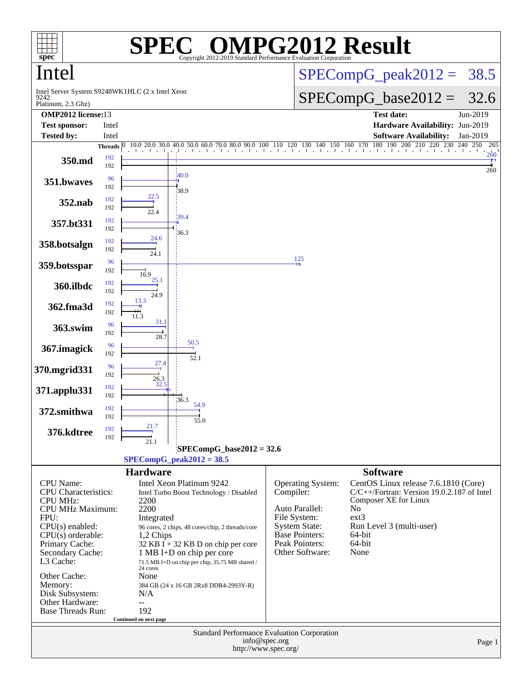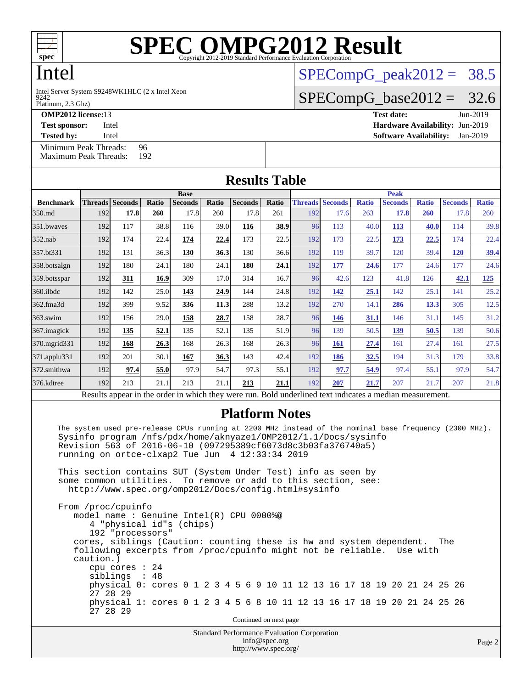

# Intel

9242 Intel Server System S9248WK1HLC (2 x Intel Xeon  $SPECompG<sub>p</sub>eak2012 = 38.5$ 

 $SPECompG_base2012 = 32.6$  $SPECompG_base2012 = 32.6$ 

Platinum, 2.3 Ghz)

**[OMP2012 license:](http://www.spec.org/auto/omp2012/Docs/result-fields.html#OMP2012license)**13 **[Test date:](http://www.spec.org/auto/omp2012/Docs/result-fields.html#Testdate)** Jun-2019

**[Test sponsor:](http://www.spec.org/auto/omp2012/Docs/result-fields.html#Testsponsor)** Intel **[Hardware Availability:](http://www.spec.org/auto/omp2012/Docs/result-fields.html#HardwareAvailability)** Jun-2019 **[Tested by:](http://www.spec.org/auto/omp2012/Docs/result-fields.html#Testedby)** Intel **[Software Availability:](http://www.spec.org/auto/omp2012/Docs/result-fields.html#SoftwareAvailability)** Jan-2019

[Minimum Peak Threads:](http://www.spec.org/auto/omp2012/Docs/result-fields.html#MinimumPeakThreads) 96<br>Maximum Peak Threads: 192 [Maximum Peak Threads:](http://www.spec.org/auto/omp2012/Docs/result-fields.html#MaximumPeakThreads)

| <b>Results Table</b> |             |                                                                                                          |       |                |       |                |       |                |                |              |                |              |                |              |  |
|----------------------|-------------|----------------------------------------------------------------------------------------------------------|-------|----------------|-------|----------------|-------|----------------|----------------|--------------|----------------|--------------|----------------|--------------|--|
|                      | <b>Base</b> |                                                                                                          |       |                |       |                |       |                | <b>Peak</b>    |              |                |              |                |              |  |
| <b>Benchmark</b>     |             | <b>Threads Seconds</b>                                                                                   | Ratio | <b>Seconds</b> | Ratio | <b>Seconds</b> | Ratio | <b>Threads</b> | <b>Seconds</b> | <b>Ratio</b> | <b>Seconds</b> | <b>Ratio</b> | <b>Seconds</b> | <b>Ratio</b> |  |
| 350.md               | 192         | 17.8                                                                                                     | 260   | 17.8           | 260   | 17.8           | 261   | 192            | 17.6           | 263          | <b>17.8</b>    | <b>260</b>   | 17.8           | 260          |  |
| 351.bwaves           | 192         | 117                                                                                                      | 38.8  | 116            | 39.0  | 116            | 38.9  | 96             | 113            | 40.0         | 113            | 40.0         | 114            | 39.8         |  |
| $352$ .nab           | 192         | 174                                                                                                      | 22.4  | 174            | 22.4  | 173            | 22.5  | 192            | 173            | 22.5         | 173            | 22.5         | 174            | 22.4         |  |
| 357.bt331            | 192         | 131                                                                                                      | 36.3  | 130            | 36.3  | 130            | 36.6  | 192            | 119            | 39.7         | 120            | 39.4         | 120            | <u>39.4</u>  |  |
| 358.botsalgn         | 192         | 180                                                                                                      | 24.1  | 180            | 24.1  | 180            | 24.1  | 192            | 177            | 24.6         | 177            | 24.6         | 177            | 24.6         |  |
| $359.$ botsspar      | 192         | 311                                                                                                      | 16.9  | 309            | 17.0  | 314            | 16.7  | 96             | 42.6           | 123          | 41.8           | 126          | 42.1           | <u>125</u>   |  |
| $360$ .ilbdc         | 192         | 142                                                                                                      | 25.0  | 143            | 24.9  | 144            | 24.8  | 192            | 142            | 25.1         | 142            | 25.1         | 141            | 25.2         |  |
| 362.fma3d            | 192         | 399                                                                                                      | 9.52  | 336            | 11.3  | 288            | 13.2  | 192            | 270            | 14.1         | 286            | 13.3         | 305            | 12.5         |  |
| $363$ .swim          | 192         | 156                                                                                                      | 29.0  | 158            | 28.7  | 158            | 28.7  | 96             | 146            | <u>31.1</u>  | 146            | 31.1         | 145            | 31.2         |  |
| 367.imagick          | 192         | 135                                                                                                      | 52.1  | 135            | 52.1  | 135            | 51.9  | 96             | 139            | 50.5         | 139            | 50.5         | 139            | 50.6         |  |
| 370.mgrid331         | 192         | 168                                                                                                      | 26.3  | 168            | 26.3  | 168            | 26.3  | 96             | 161            | 27.4         | 161            | 27.4         | 161            | 27.5         |  |
| 371.applu331         | 192         | 201                                                                                                      | 30.1  | 167            | 36.3  | 143            | 42.4  | 192            | 186            | <u>32.5</u>  | 194            | 31.3         | 179            | 33.8         |  |
| 372.smithwa          | 192         | 97.4                                                                                                     | 55.0  | 97.9           | 54.7  | 97.3           | 55.1  | 192            | 97.7           | 54.9         | 97.4           | 55.1         | 97.9           | 54.7         |  |
| 376.kdtree           | 192         | 213                                                                                                      | 21.1  | 213            | 21.1  | 213            | 21.1  | 192            | 207            | 21.7         | 207            | 21.7         | 207            | 21.8         |  |
|                      |             | Results appear in the order in which they were run. Bold underlined text indicates a median measurement. |       |                |       |                |       |                |                |              |                |              |                |              |  |

### **[Platform Notes](http://www.spec.org/auto/omp2012/Docs/result-fields.html#PlatformNotes)**

 The system used pre-release CPUs running at 2200 MHz instead of the nominal base frequency (2300 MHz). Sysinfo program /nfs/pdx/home/aknyaze1/OMP2012/1.1/Docs/sysinfo Revision 563 of 2016-06-10 (097295389cf6073d8c3b03fa376740a5) running on ortce-clxap2 Tue Jun 4 12:33:34 2019

 This section contains SUT (System Under Test) info as seen by some common utilities. To remove or add to this section, see: <http://www.spec.org/omp2012/Docs/config.html#sysinfo>

Standard Performance Evaluation Corporation From /proc/cpuinfo model name : Genuine Intel(R) CPU 0000%@ 4 "physical id"s (chips) 192 "processors" cores, siblings (Caution: counting these is hw and system dependent. The following excerpts from /proc/cpuinfo might not be reliable. Use with caution.) cpu cores : 24 siblings : 48 physical 0: cores 0 1 2 3 4 5 6 9 10 11 12 13 16 17 18 19 20 21 24 25 26 27 28 29 physical 1: cores 0 1 2 3 4 5 6 8 10 11 12 13 16 17 18 19 20 21 24 25 26 27 28 29 Continued on next page

> [info@spec.org](mailto:info@spec.org) <http://www.spec.org/>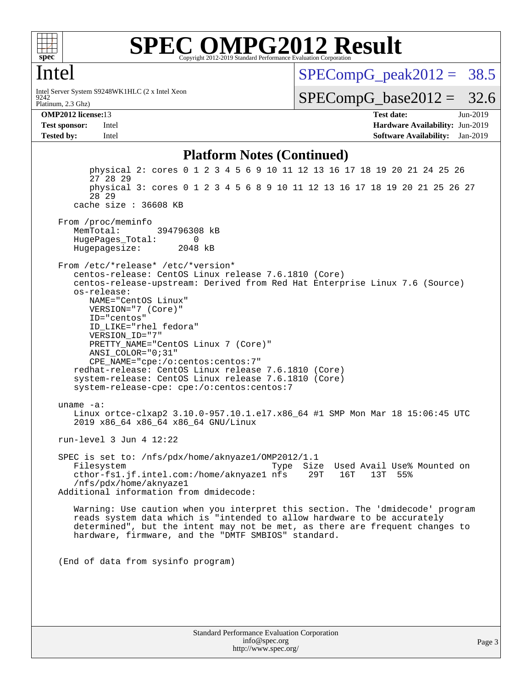

### Intel

Platinum, 2.3 Ghz) 9242 Intel Server System S9248WK1HLC (2 x Intel Xeon  $SPECompG_peak2012 = 38.5$  $SPECompG_peak2012 = 38.5$ 

 $SPECompG_base2012 = 32.6$  $SPECompG_base2012 = 32.6$ 

**[OMP2012 license:](http://www.spec.org/auto/omp2012/Docs/result-fields.html#OMP2012license)**13 **[Test date:](http://www.spec.org/auto/omp2012/Docs/result-fields.html#Testdate)** Jun-2019 **[Test sponsor:](http://www.spec.org/auto/omp2012/Docs/result-fields.html#Testsponsor)** Intel **[Hardware Availability:](http://www.spec.org/auto/omp2012/Docs/result-fields.html#HardwareAvailability)** Jun-2019 **[Tested by:](http://www.spec.org/auto/omp2012/Docs/result-fields.html#Testedby)** Intel **[Software Availability:](http://www.spec.org/auto/omp2012/Docs/result-fields.html#SoftwareAvailability)** Jan-2019

### **[Platform Notes \(Continued\)](http://www.spec.org/auto/omp2012/Docs/result-fields.html#PlatformNotes)**

Standard Performance Evaluation Corporation [info@spec.org](mailto:info@spec.org) physical 2: cores 0 1 2 3 4 5 6 9 10 11 12 13 16 17 18 19 20 21 24 25 26 27 28 29 physical 3: cores 0 1 2 3 4 5 6 8 9 10 11 12 13 16 17 18 19 20 21 25 26 27 28 29 cache size : 36608 KB From /proc/meminfo MemTotal: 394796308 kB HugePages\_Total: 0<br>Hugepagesize: 2048 kB Hugepagesize: From /etc/\*release\* /etc/\*version\* centos-release: CentOS Linux release 7.6.1810 (Core) centos-release-upstream: Derived from Red Hat Enterprise Linux 7.6 (Source) os-release: NAME="CentOS Linux" VERSION="7 (Core)" ID="centos" ID\_LIKE="rhel fedora" VERSION\_ID="7" PRETTY\_NAME="CentOS Linux 7 (Core)" ANSI\_COLOR="0;31" CPE\_NAME="cpe:/o:centos:centos:7" redhat-release: CentOS Linux release 7.6.1810 (Core) system-release: CentOS Linux release 7.6.1810 (Core) system-release-cpe: cpe:/o:centos:centos:7 uname -a: Linux ortce-clxap2 3.10.0-957.10.1.el7.x86\_64 #1 SMP Mon Mar 18 15:06:45 UTC 2019 x86\_64 x86\_64 x86\_64 GNU/Linux run-level 3 Jun 4 12:22 SPEC is set to: /nfs/pdx/home/aknyaze1/OMP2012/1.1 Type Size Used Avail Use% Mounted on cthor-fs1.jf.intel.com:/home/aknyaze1 nfs 29T 16T 13T 55% /nfs/pdx/home/aknyaze1 Additional information from dmidecode: Warning: Use caution when you interpret this section. The 'dmidecode' program reads system data which is "intended to allow hardware to be accurately determined", but the intent may not be met, as there are frequent changes to hardware, firmware, and the "DMTF SMBIOS" standard. (End of data from sysinfo program)

<http://www.spec.org/>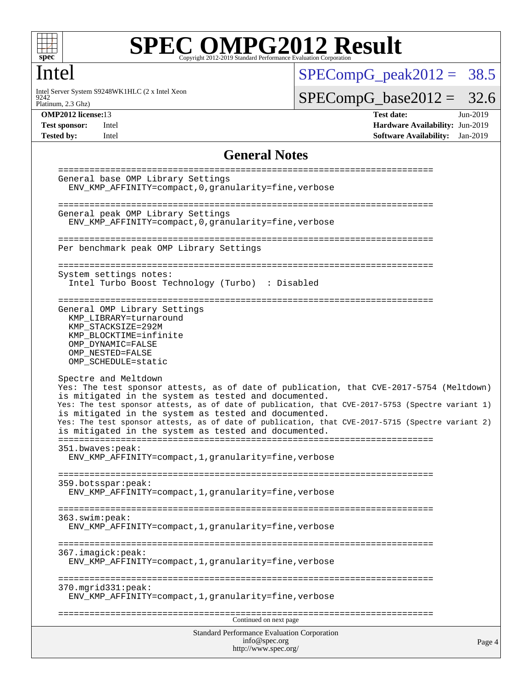

### Intel

9242 Intel Server System S9248WK1HLC (2 x Intel Xeon  $SPECompG_peak2012 = 38.5$  $SPECompG_peak2012 = 38.5$ 

 $SPECompG_base2012 = 32.6$  $SPECompG_base2012 = 32.6$ 

Platinum, 2.3 Ghz)

**[OMP2012 license:](http://www.spec.org/auto/omp2012/Docs/result-fields.html#OMP2012license)**13 **[Test date:](http://www.spec.org/auto/omp2012/Docs/result-fields.html#Testdate)** Jun-2019 **[Test sponsor:](http://www.spec.org/auto/omp2012/Docs/result-fields.html#Testsponsor)** Intel **[Hardware Availability:](http://www.spec.org/auto/omp2012/Docs/result-fields.html#HardwareAvailability)** Jun-2019 **[Tested by:](http://www.spec.org/auto/omp2012/Docs/result-fields.html#Testedby)** Intel **[Software Availability:](http://www.spec.org/auto/omp2012/Docs/result-fields.html#SoftwareAvailability)** Jan-2019

### **[General Notes](http://www.spec.org/auto/omp2012/Docs/result-fields.html#GeneralNotes)**

```
Standard Performance Evaluation Corporation
                                     info@spec.org
                                    http://www.spec.org/
                                                                                      Page 4
 ========================================================================
 General base OMP Library Settings
   ENV_KMP_AFFINITY=compact,0,granularity=fine,verbose
 ========================================================================
 General peak OMP Library Settings
   ENV_KMP_AFFINITY=compact,0,granularity=fine,verbose
 ========================================================================
 Per benchmark peak OMP Library Settings
 ========================================================================
 System settings notes:
   Intel Turbo Boost Technology (Turbo) : Disabled
 ========================================================================
 General OMP Library Settings
   KMP_LIBRARY=turnaround
   KMP_STACKSIZE=292M
   KMP_BLOCKTIME=infinite
   OMP_DYNAMIC=FALSE
   OMP_NESTED=FALSE
   OMP_SCHEDULE=static
 Spectre and Meltdown
 Yes: The test sponsor attests, as of date of publication, that CVE-2017-5754 (Meltdown)
 is mitigated in the system as tested and documented.
 Yes: The test sponsor attests, as of date of publication, that CVE-2017-5753 (Spectre variant 1)
 is mitigated in the system as tested and documented.
 Yes: The test sponsor attests, as of date of publication, that CVE-2017-5715 (Spectre variant 2)
 is mitigated in the system as tested and documented.
 ========================================================================
 351.bwaves:peak:
   ENV_KMP_AFFINITY=compact,1,granularity=fine,verbose
 ========================================================================
 359.botsspar:peak:
   ENV_KMP_AFFINITY=compact,1,granularity=fine,verbose
 ========================================================================
 363.swim:peak:
   ENV_KMP_AFFINITY=compact,1,granularity=fine,verbose
 ========================================================================
 367.imagick:peak:
   ENV_KMP_AFFINITY=compact,1,granularity=fine,verbose
 ========================================================================
 370.mgrid331:peak:
   ENV_KMP_AFFINITY=compact,1,granularity=fine,verbose
 ========================================================================
                                    Continued on next page
```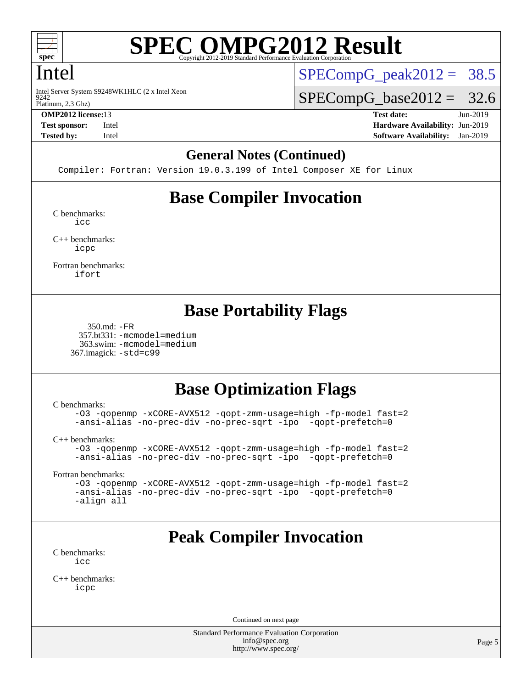

### Intel

9242 Intel Server System S9248WK1HLC (2 x Intel Xeon  $SPECompG_peak2012 = 38.5$  $SPECompG_peak2012 = 38.5$ 

 $SPECompG_base2012 = 32.6$  $SPECompG_base2012 = 32.6$ 

Platinum, 2.3 Ghz)

**[OMP2012 license:](http://www.spec.org/auto/omp2012/Docs/result-fields.html#OMP2012license)**13 **[Test date:](http://www.spec.org/auto/omp2012/Docs/result-fields.html#Testdate)** Jun-2019 **[Test sponsor:](http://www.spec.org/auto/omp2012/Docs/result-fields.html#Testsponsor)** Intel **[Hardware Availability:](http://www.spec.org/auto/omp2012/Docs/result-fields.html#HardwareAvailability)** Jun-2019 **[Tested by:](http://www.spec.org/auto/omp2012/Docs/result-fields.html#Testedby)** Intel **[Software Availability:](http://www.spec.org/auto/omp2012/Docs/result-fields.html#SoftwareAvailability)** Jan-2019

### **[General Notes \(Continued\)](http://www.spec.org/auto/omp2012/Docs/result-fields.html#GeneralNotes)**

Compiler: Fortran: Version 19.0.3.199 of Intel Composer XE for Linux

# **[Base Compiler Invocation](http://www.spec.org/auto/omp2012/Docs/result-fields.html#BaseCompilerInvocation)**

[C benchmarks](http://www.spec.org/auto/omp2012/Docs/result-fields.html#Cbenchmarks): [icc](http://www.spec.org/omp2012/results/res2019q3/omp2012-20190604-00180.flags.html#user_CCbase_intel_icc_a87c68a857bc5ec5362391a49d3a37a6)

[C++ benchmarks:](http://www.spec.org/auto/omp2012/Docs/result-fields.html#CXXbenchmarks) [icpc](http://www.spec.org/omp2012/results/res2019q3/omp2012-20190604-00180.flags.html#user_CXXbase_intel_icpc_2d899f8d163502b12eb4a60069f80c1c)

[Fortran benchmarks](http://www.spec.org/auto/omp2012/Docs/result-fields.html#Fortranbenchmarks): [ifort](http://www.spec.org/omp2012/results/res2019q3/omp2012-20190604-00180.flags.html#user_FCbase_intel_ifort_8a5e5e06b19a251bdeaf8fdab5d62f20)

# **[Base Portability Flags](http://www.spec.org/auto/omp2012/Docs/result-fields.html#BasePortabilityFlags)**

```
 350.md: -FR
  357.bt331: -mcmodel=medium
   363.swim: -mcmodel=medium
 367.imagick: -std=c99
```
# **[Base Optimization Flags](http://www.spec.org/auto/omp2012/Docs/result-fields.html#BaseOptimizationFlags)**

[C benchmarks](http://www.spec.org/auto/omp2012/Docs/result-fields.html#Cbenchmarks):

[-O3](http://www.spec.org/omp2012/results/res2019q3/omp2012-20190604-00180.flags.html#user_CCbase_f-O3) [-qopenmp](http://www.spec.org/omp2012/results/res2019q3/omp2012-20190604-00180.flags.html#user_CCbase_f-qopenmp) [-xCORE-AVX512](http://www.spec.org/omp2012/results/res2019q3/omp2012-20190604-00180.flags.html#user_CCbase_f-xCORE-AVX512) [-qopt-zmm-usage=high](http://www.spec.org/omp2012/results/res2019q3/omp2012-20190604-00180.flags.html#user_CCbase_f-qopt-zmm-usage_213d857421e75f2db2f896f7900465fb) [-fp-model fast=2](http://www.spec.org/omp2012/results/res2019q3/omp2012-20190604-00180.flags.html#user_CCbase_f-fp-model_a7fb8ccb7275e23f0079632c153cfcab) [-ansi-alias](http://www.spec.org/omp2012/results/res2019q3/omp2012-20190604-00180.flags.html#user_CCbase_f-ansi-alias) [-no-prec-div](http://www.spec.org/omp2012/results/res2019q3/omp2012-20190604-00180.flags.html#user_CCbase_f-no-prec-div) [-no-prec-sqrt](http://www.spec.org/omp2012/results/res2019q3/omp2012-20190604-00180.flags.html#user_CCbase_f-no-prec-sqrt) [-ipo](http://www.spec.org/omp2012/results/res2019q3/omp2012-20190604-00180.flags.html#user_CCbase_f-ipo_84062ab53814f613187d02344b8f49a7) [-qopt-prefetch=0](http://www.spec.org/omp2012/results/res2019q3/omp2012-20190604-00180.flags.html#user_CCbase_f-qopt-prefetch_ce172c705aa924d14c76f32fff3f4886)

[C++ benchmarks:](http://www.spec.org/auto/omp2012/Docs/result-fields.html#CXXbenchmarks)

```
-O3 -qopenmp -xCORE-AVX512 -qopt-zmm-usage=high -fp-model fast=2
-ansi-alias -no-prec-div -no-prec-sqrt -ipo -qopt-prefetch=0
```
[Fortran benchmarks](http://www.spec.org/auto/omp2012/Docs/result-fields.html#Fortranbenchmarks):

```
-O3 -qopenmp -xCORE-AVX512 -qopt-zmm-usage=high -fp-model fast=2
-ansi-alias -no-prec-div -no-prec-sqrt -ipo -qopt-prefetch=0
-align all
```
# **[Peak Compiler Invocation](http://www.spec.org/auto/omp2012/Docs/result-fields.html#PeakCompilerInvocation)**

[C benchmarks](http://www.spec.org/auto/omp2012/Docs/result-fields.html#Cbenchmarks): [icc](http://www.spec.org/omp2012/results/res2019q3/omp2012-20190604-00180.flags.html#user_CCpeak_intel_icc_a87c68a857bc5ec5362391a49d3a37a6)

[C++ benchmarks:](http://www.spec.org/auto/omp2012/Docs/result-fields.html#CXXbenchmarks) [icpc](http://www.spec.org/omp2012/results/res2019q3/omp2012-20190604-00180.flags.html#user_CXXpeak_intel_icpc_2d899f8d163502b12eb4a60069f80c1c)

Continued on next page

Standard Performance Evaluation Corporation [info@spec.org](mailto:info@spec.org) <http://www.spec.org/>

Page 5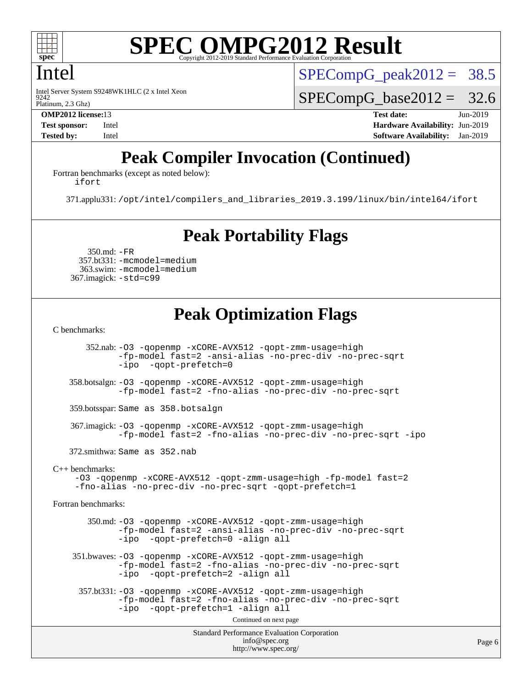

# Intel

9242 Intel Server System S9248WK1HLC (2 x Intel Xeon  $SPECompG_peak2012 = 38.5$  $SPECompG_peak2012 = 38.5$ 

 $SPECompG_base2012 = 32.6$  $SPECompG_base2012 = 32.6$ 

Platinum, 2.3 Ghz)

**[OMP2012 license:](http://www.spec.org/auto/omp2012/Docs/result-fields.html#OMP2012license)**13 **[Test date:](http://www.spec.org/auto/omp2012/Docs/result-fields.html#Testdate)** Jun-2019 **[Test sponsor:](http://www.spec.org/auto/omp2012/Docs/result-fields.html#Testsponsor)** Intel **[Hardware Availability:](http://www.spec.org/auto/omp2012/Docs/result-fields.html#HardwareAvailability)** Jun-2019 **[Tested by:](http://www.spec.org/auto/omp2012/Docs/result-fields.html#Testedby)** Intel **[Software Availability:](http://www.spec.org/auto/omp2012/Docs/result-fields.html#SoftwareAvailability)** Jan-2019

# **[Peak Compiler Invocation \(Continued\)](http://www.spec.org/auto/omp2012/Docs/result-fields.html#PeakCompilerInvocation)**

[Fortran benchmarks \(except as noted below\)](http://www.spec.org/auto/omp2012/Docs/result-fields.html#Fortranbenchmarksexceptasnotedbelow): [ifort](http://www.spec.org/omp2012/results/res2019q3/omp2012-20190604-00180.flags.html#user_FCpeak_intel_ifort_8a5e5e06b19a251bdeaf8fdab5d62f20)

371.applu331: [/opt/intel/compilers\\_and\\_libraries\\_2019.3.199/linux/bin/intel64/ifort](http://www.spec.org/omp2012/results/res2019q3/omp2012-20190604-00180.flags.html#user_peakFCLD371_applu331_intel_ifort_d0a20e4cb9a75ea9037e0d01ed7f0e6d)

# **[Peak Portability Flags](http://www.spec.org/auto/omp2012/Docs/result-fields.html#PeakPortabilityFlags)**

 350.md: [-FR](http://www.spec.org/omp2012/results/res2019q3/omp2012-20190604-00180.flags.html#user_peakFPORTABILITY350_md_f-FR) 357.bt331: [-mcmodel=medium](http://www.spec.org/omp2012/results/res2019q3/omp2012-20190604-00180.flags.html#user_peakPORTABILITY357_bt331_f-mcmodel_3a41622424bdd074c4f0f2d2f224c7e5) 363.swim: [-mcmodel=medium](http://www.spec.org/omp2012/results/res2019q3/omp2012-20190604-00180.flags.html#user_peakPORTABILITY363_swim_f-mcmodel_3a41622424bdd074c4f0f2d2f224c7e5) 367.imagick: [-std=c99](http://www.spec.org/omp2012/results/res2019q3/omp2012-20190604-00180.flags.html#user_peakCPORTABILITY367_imagick_f-std_2ec6533b6e06f1c4a6c9b78d9e9cde24)

# **[Peak Optimization Flags](http://www.spec.org/auto/omp2012/Docs/result-fields.html#PeakOptimizationFlags)**

[C benchmarks](http://www.spec.org/auto/omp2012/Docs/result-fields.html#Cbenchmarks):

Standard Performance Evaluation Corporation 352.nab: [-O3](http://www.spec.org/omp2012/results/res2019q3/omp2012-20190604-00180.flags.html#user_peakOPTIMIZE352_nab_f-O3) [-qopenmp](http://www.spec.org/omp2012/results/res2019q3/omp2012-20190604-00180.flags.html#user_peakOPTIMIZE352_nab_f-qopenmp) [-xCORE-AVX512](http://www.spec.org/omp2012/results/res2019q3/omp2012-20190604-00180.flags.html#user_peakOPTIMIZE352_nab_f-xCORE-AVX512) [-qopt-zmm-usage=high](http://www.spec.org/omp2012/results/res2019q3/omp2012-20190604-00180.flags.html#user_peakOPTIMIZE352_nab_f-qopt-zmm-usage_213d857421e75f2db2f896f7900465fb) [-fp-model fast=2](http://www.spec.org/omp2012/results/res2019q3/omp2012-20190604-00180.flags.html#user_peakOPTIMIZE352_nab_f-fp-model_a7fb8ccb7275e23f0079632c153cfcab) [-ansi-alias](http://www.spec.org/omp2012/results/res2019q3/omp2012-20190604-00180.flags.html#user_peakOPTIMIZE352_nab_f-ansi-alias) [-no-prec-div](http://www.spec.org/omp2012/results/res2019q3/omp2012-20190604-00180.flags.html#user_peakOPTIMIZE352_nab_f-no-prec-div) [-no-prec-sqrt](http://www.spec.org/omp2012/results/res2019q3/omp2012-20190604-00180.flags.html#user_peakOPTIMIZE352_nab_f-no-prec-sqrt) [-ipo](http://www.spec.org/omp2012/results/res2019q3/omp2012-20190604-00180.flags.html#user_peakOPTIMIZE352_nab_f-ipo_84062ab53814f613187d02344b8f49a7) [-qopt-prefetch=0](http://www.spec.org/omp2012/results/res2019q3/omp2012-20190604-00180.flags.html#user_peakOPTIMIZE352_nab_f-qopt-prefetch_ce172c705aa924d14c76f32fff3f4886) 358.botsalgn: [-O3](http://www.spec.org/omp2012/results/res2019q3/omp2012-20190604-00180.flags.html#user_peakOPTIMIZE358_botsalgn_f-O3) [-qopenmp](http://www.spec.org/omp2012/results/res2019q3/omp2012-20190604-00180.flags.html#user_peakOPTIMIZE358_botsalgn_f-qopenmp) [-xCORE-AVX512](http://www.spec.org/omp2012/results/res2019q3/omp2012-20190604-00180.flags.html#user_peakOPTIMIZE358_botsalgn_f-xCORE-AVX512) [-qopt-zmm-usage=high](http://www.spec.org/omp2012/results/res2019q3/omp2012-20190604-00180.flags.html#user_peakOPTIMIZE358_botsalgn_f-qopt-zmm-usage_213d857421e75f2db2f896f7900465fb) [-fp-model fast=2](http://www.spec.org/omp2012/results/res2019q3/omp2012-20190604-00180.flags.html#user_peakOPTIMIZE358_botsalgn_f-fp-model_a7fb8ccb7275e23f0079632c153cfcab) [-fno-alias](http://www.spec.org/omp2012/results/res2019q3/omp2012-20190604-00180.flags.html#user_peakOPTIMIZE358_botsalgn_f-no-alias_694e77f6c5a51e658e82ccff53a9e63a) [-no-prec-div](http://www.spec.org/omp2012/results/res2019q3/omp2012-20190604-00180.flags.html#user_peakOPTIMIZE358_botsalgn_f-no-prec-div) [-no-prec-sqrt](http://www.spec.org/omp2012/results/res2019q3/omp2012-20190604-00180.flags.html#user_peakOPTIMIZE358_botsalgn_f-no-prec-sqrt) 359.botsspar: Same as 358.botsalgn 367.imagick: [-O3](http://www.spec.org/omp2012/results/res2019q3/omp2012-20190604-00180.flags.html#user_peakOPTIMIZE367_imagick_f-O3) [-qopenmp](http://www.spec.org/omp2012/results/res2019q3/omp2012-20190604-00180.flags.html#user_peakOPTIMIZE367_imagick_f-qopenmp) [-xCORE-AVX512](http://www.spec.org/omp2012/results/res2019q3/omp2012-20190604-00180.flags.html#user_peakOPTIMIZE367_imagick_f-xCORE-AVX512) [-qopt-zmm-usage=high](http://www.spec.org/omp2012/results/res2019q3/omp2012-20190604-00180.flags.html#user_peakOPTIMIZE367_imagick_f-qopt-zmm-usage_213d857421e75f2db2f896f7900465fb) [-fp-model fast=2](http://www.spec.org/omp2012/results/res2019q3/omp2012-20190604-00180.flags.html#user_peakOPTIMIZE367_imagick_f-fp-model_a7fb8ccb7275e23f0079632c153cfcab) [-fno-alias](http://www.spec.org/omp2012/results/res2019q3/omp2012-20190604-00180.flags.html#user_peakOPTIMIZE367_imagick_f-no-alias_694e77f6c5a51e658e82ccff53a9e63a) [-no-prec-div](http://www.spec.org/omp2012/results/res2019q3/omp2012-20190604-00180.flags.html#user_peakOPTIMIZE367_imagick_f-no-prec-div) [-no-prec-sqrt](http://www.spec.org/omp2012/results/res2019q3/omp2012-20190604-00180.flags.html#user_peakOPTIMIZE367_imagick_f-no-prec-sqrt) [-ipo](http://www.spec.org/omp2012/results/res2019q3/omp2012-20190604-00180.flags.html#user_peakOPTIMIZE367_imagick_f-ipo) 372.smithwa: Same as 352.nab [C++ benchmarks:](http://www.spec.org/auto/omp2012/Docs/result-fields.html#CXXbenchmarks) [-O3](http://www.spec.org/omp2012/results/res2019q3/omp2012-20190604-00180.flags.html#user_CXXpeak_f-O3) [-qopenmp](http://www.spec.org/omp2012/results/res2019q3/omp2012-20190604-00180.flags.html#user_CXXpeak_f-qopenmp) [-xCORE-AVX512](http://www.spec.org/omp2012/results/res2019q3/omp2012-20190604-00180.flags.html#user_CXXpeak_f-xCORE-AVX512) [-qopt-zmm-usage=high](http://www.spec.org/omp2012/results/res2019q3/omp2012-20190604-00180.flags.html#user_CXXpeak_f-qopt-zmm-usage_213d857421e75f2db2f896f7900465fb) [-fp-model fast=2](http://www.spec.org/omp2012/results/res2019q3/omp2012-20190604-00180.flags.html#user_CXXpeak_f-fp-model_a7fb8ccb7275e23f0079632c153cfcab) [-fno-alias](http://www.spec.org/omp2012/results/res2019q3/omp2012-20190604-00180.flags.html#user_CXXpeak_f-no-alias_694e77f6c5a51e658e82ccff53a9e63a) [-no-prec-div](http://www.spec.org/omp2012/results/res2019q3/omp2012-20190604-00180.flags.html#user_CXXpeak_f-no-prec-div) [-no-prec-sqrt](http://www.spec.org/omp2012/results/res2019q3/omp2012-20190604-00180.flags.html#user_CXXpeak_f-no-prec-sqrt) [-qopt-prefetch=1](http://www.spec.org/omp2012/results/res2019q3/omp2012-20190604-00180.flags.html#user_CXXpeak_f-qopt-prefetch_9097ad9b78e4401c727c33237ff25d7e) [Fortran benchmarks](http://www.spec.org/auto/omp2012/Docs/result-fields.html#Fortranbenchmarks): 350.md: [-O3](http://www.spec.org/omp2012/results/res2019q3/omp2012-20190604-00180.flags.html#user_peakOPTIMIZE350_md_f-O3) [-qopenmp](http://www.spec.org/omp2012/results/res2019q3/omp2012-20190604-00180.flags.html#user_peakOPTIMIZE350_md_f-qopenmp) [-xCORE-AVX512](http://www.spec.org/omp2012/results/res2019q3/omp2012-20190604-00180.flags.html#user_peakOPTIMIZE350_md_f-xCORE-AVX512) [-qopt-zmm-usage=high](http://www.spec.org/omp2012/results/res2019q3/omp2012-20190604-00180.flags.html#user_peakOPTIMIZE350_md_f-qopt-zmm-usage_213d857421e75f2db2f896f7900465fb) [-fp-model fast=2](http://www.spec.org/omp2012/results/res2019q3/omp2012-20190604-00180.flags.html#user_peakOPTIMIZE350_md_f-fp-model_a7fb8ccb7275e23f0079632c153cfcab) [-ansi-alias](http://www.spec.org/omp2012/results/res2019q3/omp2012-20190604-00180.flags.html#user_peakOPTIMIZE350_md_f-ansi-alias) [-no-prec-div](http://www.spec.org/omp2012/results/res2019q3/omp2012-20190604-00180.flags.html#user_peakOPTIMIZE350_md_f-no-prec-div) [-no-prec-sqrt](http://www.spec.org/omp2012/results/res2019q3/omp2012-20190604-00180.flags.html#user_peakOPTIMIZE350_md_f-no-prec-sqrt) [-ipo](http://www.spec.org/omp2012/results/res2019q3/omp2012-20190604-00180.flags.html#user_peakOPTIMIZE350_md_f-ipo_84062ab53814f613187d02344b8f49a7) [-qopt-prefetch=0](http://www.spec.org/omp2012/results/res2019q3/omp2012-20190604-00180.flags.html#user_peakOPTIMIZE350_md_f-qopt-prefetch_ce172c705aa924d14c76f32fff3f4886) [-align all](http://www.spec.org/omp2012/results/res2019q3/omp2012-20190604-00180.flags.html#user_peakFOPTIMIZE350_md_f-align_1ebfa66158b49aff21b037afc4046011) 351.bwaves: [-O3](http://www.spec.org/omp2012/results/res2019q3/omp2012-20190604-00180.flags.html#user_peakOPTIMIZE351_bwaves_f-O3) [-qopenmp](http://www.spec.org/omp2012/results/res2019q3/omp2012-20190604-00180.flags.html#user_peakOPTIMIZE351_bwaves_f-qopenmp) [-xCORE-AVX512](http://www.spec.org/omp2012/results/res2019q3/omp2012-20190604-00180.flags.html#user_peakOPTIMIZE351_bwaves_f-xCORE-AVX512) [-qopt-zmm-usage=high](http://www.spec.org/omp2012/results/res2019q3/omp2012-20190604-00180.flags.html#user_peakOPTIMIZE351_bwaves_f-qopt-zmm-usage_213d857421e75f2db2f896f7900465fb) [-fp-model fast=2](http://www.spec.org/omp2012/results/res2019q3/omp2012-20190604-00180.flags.html#user_peakOPTIMIZE351_bwaves_f-fp-model_a7fb8ccb7275e23f0079632c153cfcab) [-fno-alias](http://www.spec.org/omp2012/results/res2019q3/omp2012-20190604-00180.flags.html#user_peakOPTIMIZE351_bwaves_f-no-alias_694e77f6c5a51e658e82ccff53a9e63a) [-no-prec-div](http://www.spec.org/omp2012/results/res2019q3/omp2012-20190604-00180.flags.html#user_peakOPTIMIZE351_bwaves_f-no-prec-div) [-no-prec-sqrt](http://www.spec.org/omp2012/results/res2019q3/omp2012-20190604-00180.flags.html#user_peakOPTIMIZE351_bwaves_f-no-prec-sqrt) [-ipo](http://www.spec.org/omp2012/results/res2019q3/omp2012-20190604-00180.flags.html#user_peakOPTIMIZE351_bwaves_f-ipo_84062ab53814f613187d02344b8f49a7) [-qopt-prefetch=2](http://www.spec.org/omp2012/results/res2019q3/omp2012-20190604-00180.flags.html#user_peakOPTIMIZE351_bwaves_f-qopt-prefetch_5dd8eff5680869f15030b88dfb173050) [-align all](http://www.spec.org/omp2012/results/res2019q3/omp2012-20190604-00180.flags.html#user_peakFOPTIMIZE351_bwaves_f-align_1ebfa66158b49aff21b037afc4046011) 357.bt331: [-O3](http://www.spec.org/omp2012/results/res2019q3/omp2012-20190604-00180.flags.html#user_peakOPTIMIZE357_bt331_f-O3) [-qopenmp](http://www.spec.org/omp2012/results/res2019q3/omp2012-20190604-00180.flags.html#user_peakOPTIMIZE357_bt331_f-qopenmp) [-xCORE-AVX512](http://www.spec.org/omp2012/results/res2019q3/omp2012-20190604-00180.flags.html#user_peakOPTIMIZE357_bt331_f-xCORE-AVX512) [-qopt-zmm-usage=high](http://www.spec.org/omp2012/results/res2019q3/omp2012-20190604-00180.flags.html#user_peakOPTIMIZE357_bt331_f-qopt-zmm-usage_213d857421e75f2db2f896f7900465fb) [-fp-model fast=2](http://www.spec.org/omp2012/results/res2019q3/omp2012-20190604-00180.flags.html#user_peakOPTIMIZE357_bt331_f-fp-model_a7fb8ccb7275e23f0079632c153cfcab) [-fno-alias](http://www.spec.org/omp2012/results/res2019q3/omp2012-20190604-00180.flags.html#user_peakOPTIMIZE357_bt331_f-no-alias_694e77f6c5a51e658e82ccff53a9e63a) [-no-prec-div](http://www.spec.org/omp2012/results/res2019q3/omp2012-20190604-00180.flags.html#user_peakOPTIMIZE357_bt331_f-no-prec-div) [-no-prec-sqrt](http://www.spec.org/omp2012/results/res2019q3/omp2012-20190604-00180.flags.html#user_peakOPTIMIZE357_bt331_f-no-prec-sqrt) [-ipo](http://www.spec.org/omp2012/results/res2019q3/omp2012-20190604-00180.flags.html#user_peakOPTIMIZE357_bt331_f-ipo_84062ab53814f613187d02344b8f49a7) [-qopt-prefetch=1](http://www.spec.org/omp2012/results/res2019q3/omp2012-20190604-00180.flags.html#user_peakOPTIMIZE357_bt331_f-qopt-prefetch_9097ad9b78e4401c727c33237ff25d7e) [-align all](http://www.spec.org/omp2012/results/res2019q3/omp2012-20190604-00180.flags.html#user_peakFOPTIMIZE357_bt331_f-align_1ebfa66158b49aff21b037afc4046011) Continued on next page

[info@spec.org](mailto:info@spec.org) <http://www.spec.org/>